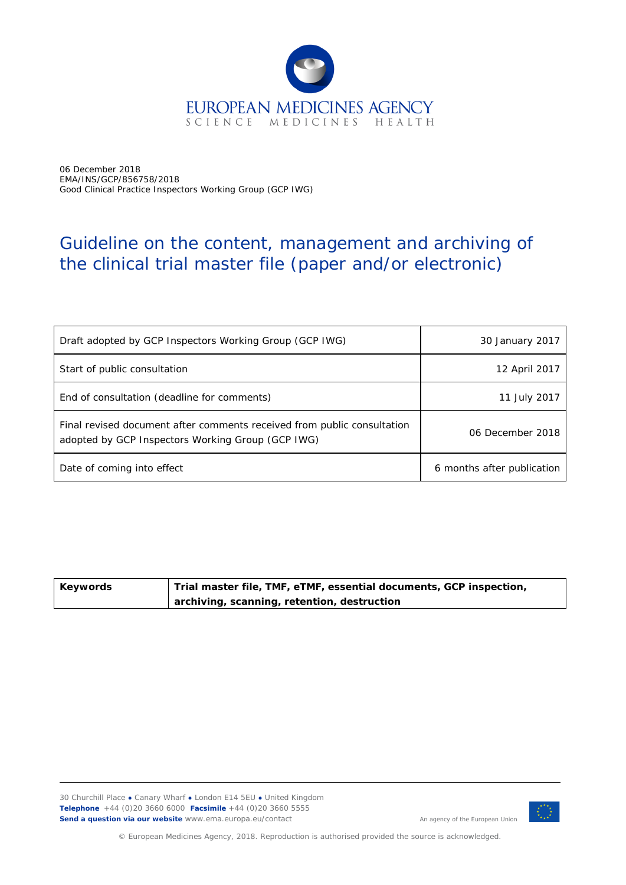

06 December 2018 EMA/INS/GCP/856758/2018 Good Clinical Practice Inspectors Working Group (GCP IWG)

# Guideline on the content, management and archiving of the clinical trial master file (paper and/or electronic)

| Draft adopted by GCP Inspectors Working Group (GCP IWG)                                                                      | 30 January 2017            |
|------------------------------------------------------------------------------------------------------------------------------|----------------------------|
| Start of public consultation                                                                                                 | 12 April 2017              |
| End of consultation (deadline for comments)                                                                                  | 11 July 2017               |
| Final revised document after comments received from public consultation<br>adopted by GCP Inspectors Working Group (GCP IWG) | 06 December 2018           |
| Date of coming into effect                                                                                                   | 6 months after publication |

| Keywords | , Trial master file, TMF, eTMF, essential documents, GCP inspection, |
|----------|----------------------------------------------------------------------|
|          | archiving, scanning, retention, destruction                          |

30 Churchill Place **●** Canary Wharf **●** London E14 5EU **●** United Kingdom **Telephone** +44 (0)20 3660 6000 **Facsimile** +44 (0)20 3660 5555 Send a question via our website www.ema.europa.eu/contact An agency of the European Union



© European Medicines Agency, 2018. Reproduction is authorised provided the source is acknowledged.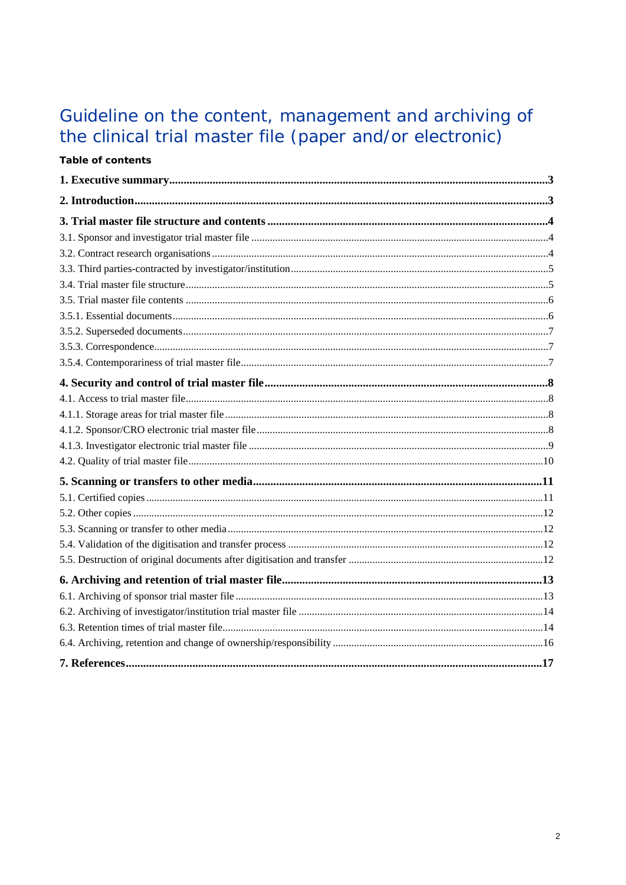# Guideline on the content, management and archiving of<br>the clinical trial master file (paper and/or electronic)

Table of contents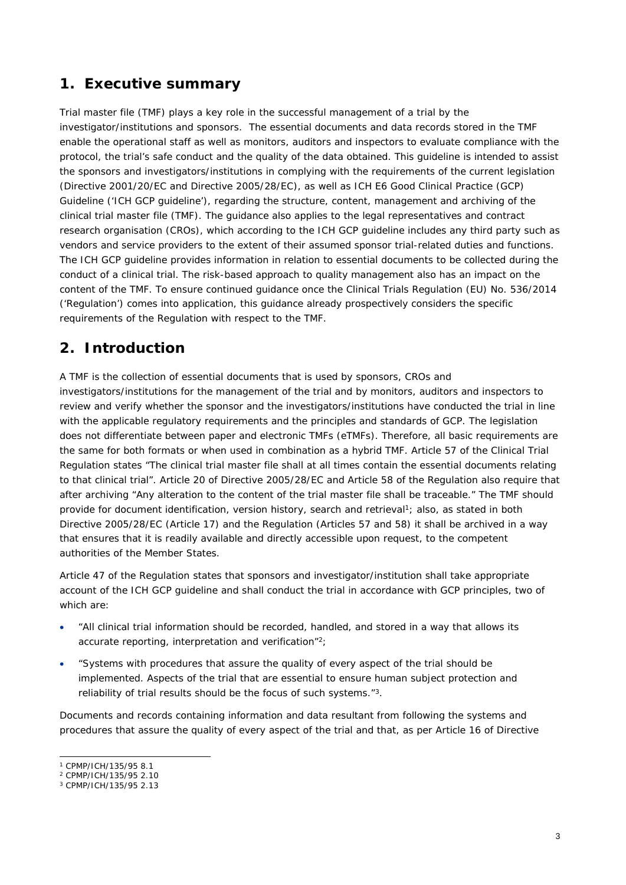# <span id="page-2-0"></span>**1. Executive summary**

Trial master file (TMF) plays a key role in the successful management of a trial by the investigator/institutions and sponsors. The essential documents and data records stored in the TMF enable the operational staff as well as monitors, auditors and inspectors to evaluate compliance with the protocol, the trial's safe conduct and the quality of the data obtained. This guideline is intended to assist the sponsors and investigators/institutions in complying with the requirements of the current legislation (Directive 2001/20/EC and Directive 2005/28/EC), as well as ICH E6 Good Clinical Practice (GCP) Guideline ('ICH GCP guideline'), regarding the structure, content, management and archiving of the clinical trial master file (TMF). The guidance also applies to the legal representatives and contract research organisation (CROs), which according to the ICH GCP guideline includes any third party such as vendors and service providers to the extent of their assumed sponsor trial-related duties and functions. The ICH GCP guideline provides information in relation to essential documents to be collected during the conduct of a clinical trial. The risk-based approach to quality management also has an impact on the content of the TMF. To ensure continued guidance once the Clinical Trials Regulation (EU) No. 536/2014 ('Regulation') comes into application, this guidance already prospectively considers the specific requirements of the Regulation with respect to the TMF.

# <span id="page-2-1"></span>**2. Introduction**

A TMF is the collection of essential documents that is used by sponsors, CROs and investigators/institutions for the management of the trial and by monitors, auditors and inspectors to review and verify whether the sponsor and the investigators/institutions have conducted the trial in line with the applicable regulatory requirements and the principles and standards of GCP. The legislation does not differentiate between paper and electronic TMFs (eTMFs). Therefore, all basic requirements are the same for both formats or when used in combination as a hybrid TMF. Article 57 of the Clinical Trial Regulation states "*The clinical trial master file shall at all times contain the essential documents relating to that clinical trial"*. Article 20 of Directive 2005/28/EC and Article 58 of the Regulation also require that after archiving "*Any alteration to the content of the trial master file shall be traceable."* The TMF should provide for document identification, version history, search and retrieval<sup>1</sup>; also, as stated in both Directive 2005/28/EC (Article 17) and the Regulation (Articles 57 and 58) it shall be archived in a way that ensures that it is readily available and directly accessible upon request, to the competent authorities of the Member States.

Article 47 of the Regulation states that sponsors and investigator/institution shall take appropriate account of the ICH GCP guideline and shall conduct the trial in accordance with GCP principles, two of which are:

- "*All clinical trial information should be recorded, handled, and stored in a way that allows its accurate reporting, interpretation and verification*" 2;
- "*Systems with procedures that assure the quality of every aspect of the trial should be implemented. Aspects of the trial that are essential to ensure human subject protection and reliability of trial results should be the focus of such systems.*" 3.

Documents and records containing information and data resultant from following the systems and procedures that assure the quality of every aspect of the trial and that, as per Article 16 of Directive

<sup>1</sup> CPMP/ICH/135/95 8.1

<sup>2</sup> CPMP/ICH/135/95 2.10

<sup>3</sup> CPMP/ICH/135/95 2.13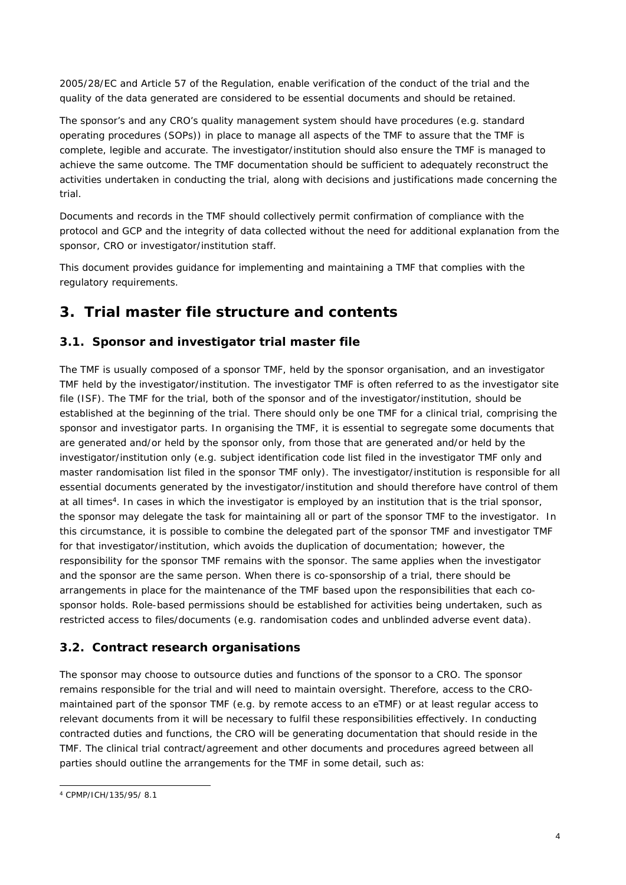2005/28/EC and Article 57 of the Regulation, enable verification of the conduct of the trial and the quality of the data generated are considered to be essential documents and should be retained.

The sponsor's and any CRO's quality management system should have procedures (e.g. standard operating procedures (SOPs)) in place to manage all aspects of the TMF to assure that the TMF is complete, legible and accurate. The investigator/institution should also ensure the TMF is managed to achieve the same outcome. The TMF documentation should be sufficient to adequately reconstruct the activities undertaken in conducting the trial, along with decisions and justifications made concerning the trial.

Documents and records in the TMF should collectively permit confirmation of compliance with the protocol and GCP and the integrity of data collected without the need for additional explanation from the sponsor, CRO or investigator/institution staff.

This document provides guidance for implementing and maintaining a TMF that complies with the regulatory requirements.

# <span id="page-3-0"></span>**3. Trial master file structure and contents**

## <span id="page-3-1"></span>*3.1. Sponsor and investigator trial master file*

The TMF is usually composed of a sponsor TMF, held by the sponsor organisation, and an investigator TMF held by the investigator/institution. The investigator TMF is often referred to as the investigator site file (ISF). The TMF for the trial, both of the sponsor and of the investigator/institution, should be established at the beginning of the trial. There should only be one TMF for a clinical trial, comprising the sponsor and investigator parts. In organising the TMF, it is essential to segregate some documents that are generated and/or held by the sponsor only, from those that are generated and/or held by the investigator/institution only (e.g. subject identification code list filed in the investigator TMF only and master randomisation list filed in the sponsor TMF only). The investigator/institution is responsible for all essential documents generated by the investigator/institution and should therefore have control of them at all times<sup>4</sup>. In cases in which the investigator is employed by an institution that is the trial sponsor, the sponsor may delegate the task for maintaining all or part of the sponsor TMF to the investigator. In this circumstance, it is possible to combine the delegated part of the sponsor TMF and investigator TMF for that investigator/institution, which avoids the duplication of documentation; however, the responsibility for the sponsor TMF remains with the sponsor. The same applies when the investigator and the sponsor are the same person. When there is co-sponsorship of a trial, there should be arrangements in place for the maintenance of the TMF based upon the responsibilities that each cosponsor holds. Role-based permissions should be established for activities being undertaken, such as restricted access to files/documents (e.g. randomisation codes and unblinded adverse event data).

## <span id="page-3-2"></span>*3.2. Contract research organisations*

The sponsor may choose to outsource duties and functions of the sponsor to a CRO. The sponsor remains responsible for the trial and will need to maintain oversight. Therefore, access to the CROmaintained part of the sponsor TMF (e.g. by remote access to an eTMF) or at least regular access to relevant documents from it will be necessary to fulfil these responsibilities effectively. In conducting contracted duties and functions, the CRO will be generating documentation that should reside in the TMF. The clinical trial contract/agreement and other documents and procedures agreed between all parties should outline the arrangements for the TMF in some detail, such as:

<sup>4</sup> CPMP/ICH/135/95/ 8.1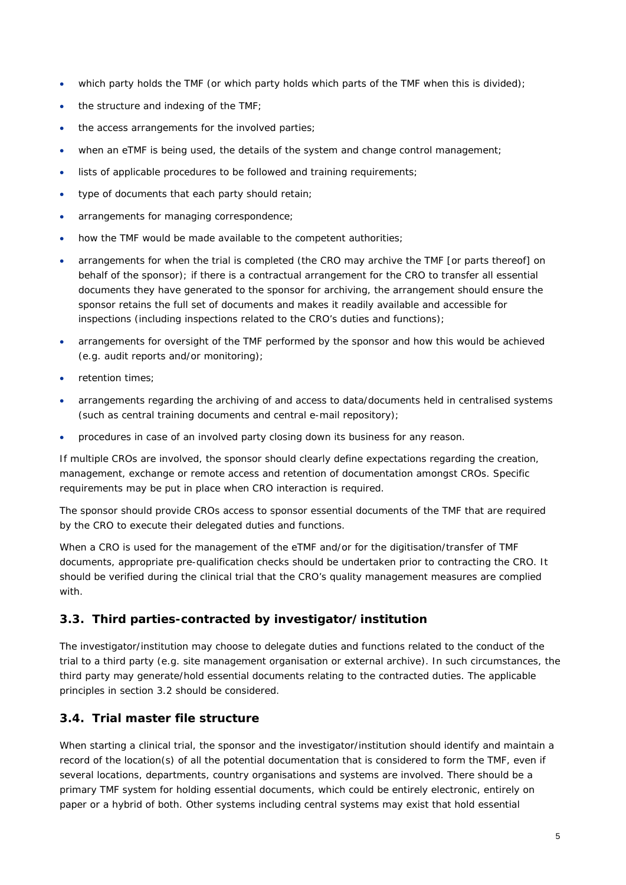- which party holds the TMF (or which party holds which parts of the TMF when this is divided);
- $\bullet$  the structure and indexing of the TMF;
- the access arrangements for the involved parties;
- when an eTMF is being used, the details of the system and change control management;
- lists of applicable procedures to be followed and training requirements;
- type of documents that each party should retain;
- arrangements for managing correspondence;
- how the TMF would be made available to the competent authorities;
- arrangements for when the trial is completed (the CRO may archive the TMF [or parts thereof] on behalf of the sponsor); if there is a contractual arrangement for the CRO to transfer all essential documents they have generated to the sponsor for archiving, the arrangement should ensure the sponsor retains the full set of documents and makes it readily available and accessible for inspections (including inspections related to the CRO's duties and functions);
- arrangements for oversight of the TMF performed by the sponsor and how this would be achieved (e.g. audit reports and/or monitoring);
- retention times;
- arrangements regarding the archiving of and access to data/documents held in centralised systems (such as central training documents and central e-mail repository);
- procedures in case of an involved party closing down its business for any reason.

If multiple CROs are involved, the sponsor should clearly define expectations regarding the creation, management, exchange or remote access and retention of documentation amongst CROs. Specific requirements may be put in place when CRO interaction is required.

The sponsor should provide CROs access to sponsor essential documents of the TMF that are required by the CRO to execute their delegated duties and functions.

When a CRO is used for the management of the eTMF and/or for the digitisation/transfer of TMF documents, appropriate pre-qualification checks should be undertaken prior to contracting the CRO. It should be verified during the clinical trial that the CRO's quality management measures are complied with.

## <span id="page-4-0"></span>*3.3. Third parties-contracted by investigator/institution*

The investigator/institution may choose to delegate duties and functions related to the conduct of the trial to a third party (e.g. site management organisation or external archive). In such circumstances, the third party may generate/hold essential documents relating to the contracted duties. The applicable principles in section 3.2 should be considered.

## <span id="page-4-1"></span>*3.4. Trial master file structure*

When starting a clinical trial, the sponsor and the investigator/institution should identify and maintain a record of the location(s) of all the potential documentation that is considered to form the TMF, even if several locations, departments, country organisations and systems are involved. There should be a primary TMF system for holding essential documents, which could be entirely electronic, entirely on paper or a hybrid of both. Other systems including central systems may exist that hold essential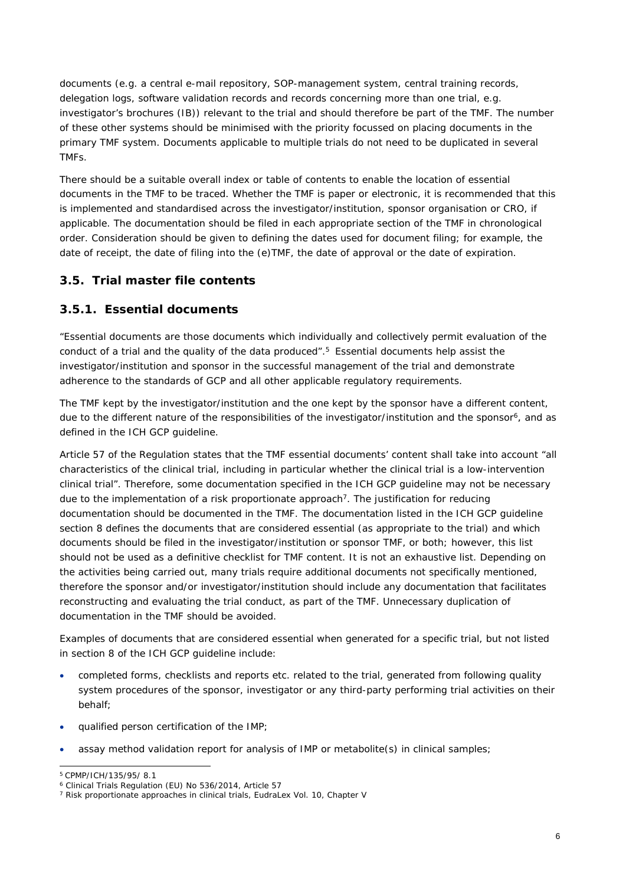documents (e.g. a central e-mail repository, SOP-management system, central training records, delegation logs, software validation records and records concerning more than one trial, e.g. investigator's brochures (IB)) relevant to the trial and should therefore be part of the TMF. The number of these other systems should be minimised with the priority focussed on placing documents in the primary TMF system. Documents applicable to multiple trials do not need to be duplicated in several TMFs.

There should be a suitable overall index or table of contents to enable the location of essential documents in the TMF to be traced. Whether the TMF is paper or electronic, it is recommended that this is implemented and standardised across the investigator/institution, sponsor organisation or CRO, if applicable. The documentation should be filed in each appropriate section of the TMF in chronological order. Consideration should be given to defining the dates used for document filing; for example, the date of receipt, the date of filing into the (e)TMF, the date of approval or the date of expiration.

## <span id="page-5-0"></span>*3.5. Trial master file contents*

#### <span id="page-5-1"></span>**3.5.1. Essential documents**

*"Essential documents are those documents which individually and collectively permit evaluation of the conduct of a trial and the quality of the data produced".<sup>5</sup>* Essential documents help assist the investigator/institution and sponsor in the successful management of the trial and demonstrate adherence to the standards of GCP and all other applicable regulatory requirements.

The TMF kept by the investigator/institution and the one kept by the sponsor have a different content, due to the different nature of the responsibilities of the investigator/institution and the sponsor<sup>6</sup>, and as defined in the ICH GCP guideline.

Article 57 of the Regulation states that the TMF essential documents' content shall take into account *"all characteristics of the clinical trial, including in particular whether the clinical trial is a low-intervention clinical trial".* Therefore, some documentation specified in the ICH GCP guideline may not be necessary due to the implementation of a risk proportionate approach<sup>7</sup>. The justification for reducing documentation should be documented in the TMF. The documentation listed in the ICH GCP guideline section 8 defines the documents that are considered essential (as appropriate to the trial) and which documents should be filed in the investigator/institution or sponsor TMF, or both; however, this list should not be used as a definitive checklist for TMF content. It is not an exhaustive list. Depending on the activities being carried out, many trials require additional documents not specifically mentioned, therefore the sponsor and/or investigator/institution should include any documentation that facilitates reconstructing and evaluating the trial conduct, as part of the TMF. Unnecessary duplication of documentation in the TMF should be avoided.

Examples of documents that are considered essential when generated for a specific trial, but not listed in section 8 of the ICH GCP guideline include:

- completed forms, checklists and reports etc. related to the trial, generated from following quality system procedures of the sponsor, investigator or any third-party performing trial activities on their behalf;
- qualified person certification of the IMP;
- assay method validation report for analysis of IMP or metabolite(s) in clinical samples;

<sup>5</sup> CPMP/ICH/135/95/ 8.1

<sup>6</sup> Clinical Trials Regulation (EU) No 536/2014, Article 57

<sup>7</sup> Risk proportionate approaches in clinical trials, EudraLex Vol. 10, Chapter V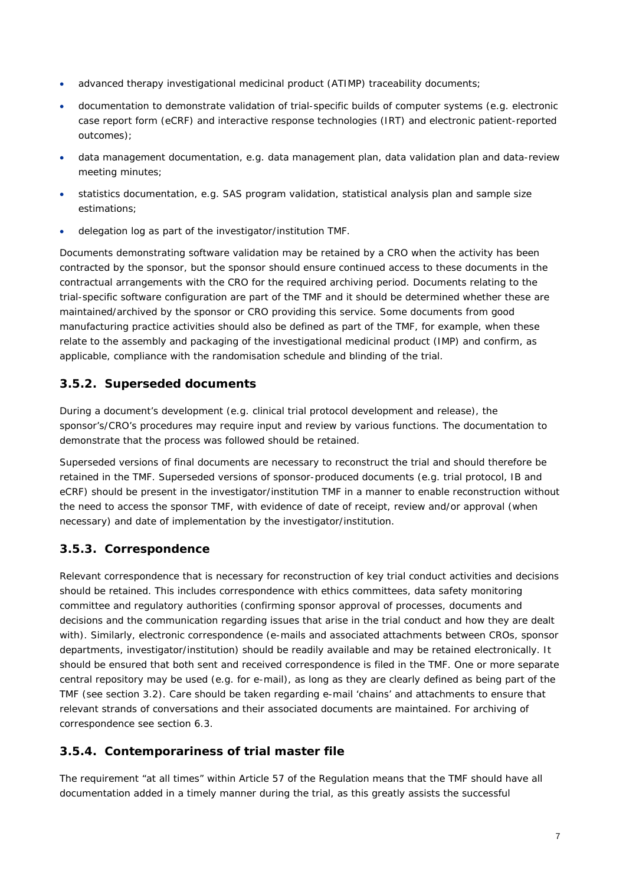- advanced therapy investigational medicinal product (ATIMP) traceability documents;
- documentation to demonstrate validation of trial-specific builds of computer systems (e.g. electronic case report form (eCRF) and interactive response technologies (IRT) and electronic patient-reported outcomes);
- data management documentation, e.g. data management plan, data validation plan and data-review meeting minutes;
- statistics documentation, e.g. SAS program validation, statistical analysis plan and sample size estimations;
- delegation log as part of the investigator/institution TMF.

Documents demonstrating software validation may be retained by a CRO when the activity has been contracted by the sponsor, but the sponsor should ensure continued access to these documents in the contractual arrangements with the CRO for the required archiving period. Documents relating to the trial-specific software configuration are part of the TMF and it should be determined whether these are maintained/archived by the sponsor or CRO providing this service. Some documents from good manufacturing practice activities should also be defined as part of the TMF, for example, when these relate to the assembly and packaging of the investigational medicinal product (IMP) and confirm, as applicable, compliance with the randomisation schedule and blinding of the trial.

#### <span id="page-6-0"></span>**3.5.2. Superseded documents**

During a document's development (e.g. clinical trial protocol development and release), the sponsor's/CRO's procedures may require input and review by various functions. The documentation to demonstrate that the process was followed should be retained.

Superseded versions of final documents are necessary to reconstruct the trial and should therefore be retained in the TMF. Superseded versions of sponsor-produced documents (e.g. trial protocol, IB and eCRF) should be present in the investigator/institution TMF in a manner to enable reconstruction without the need to access the sponsor TMF, with evidence of date of receipt, review and/or approval (when necessary) and date of implementation by the investigator/institution.

## <span id="page-6-1"></span>**3.5.3. Correspondence**

Relevant correspondence that is necessary for reconstruction of key trial conduct activities and decisions should be retained. This includes correspondence with ethics committees, data safety monitoring committee and regulatory authorities (confirming sponsor approval of processes, documents and decisions and the communication regarding issues that arise in the trial conduct and how they are dealt with). Similarly, electronic correspondence (e-mails and associated attachments between CROs, sponsor departments, investigator/institution) should be readily available and may be retained electronically. It should be ensured that both sent and received correspondence is filed in the TMF. One or more separate central repository may be used (e.g. for e-mail), as long as they are clearly defined as being part of the TMF (see section 3.2). Care should be taken regarding e-mail 'chains' and attachments to ensure that relevant strands of conversations and their associated documents are maintained. For archiving of correspondence see section 6.3.

## <span id="page-6-2"></span>**3.5.4. Contemporariness of trial master file**

The requirement "at all times" within Article 57 of the Regulation means that the TMF should have all documentation added in a timely manner during the trial, as this greatly assists the successful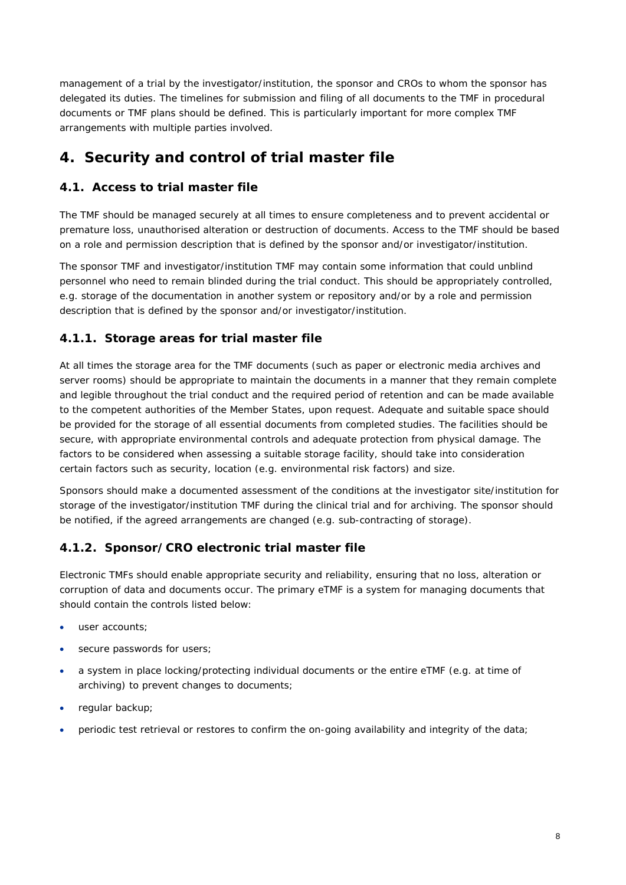management of a trial by the investigator/institution, the sponsor and CROs to whom the sponsor has delegated its duties. The timelines for submission and filing of all documents to the TMF in procedural documents or TMF plans should be defined. This is particularly important for more complex TMF arrangements with multiple parties involved.

# <span id="page-7-0"></span>**4. Security and control of trial master file**

# <span id="page-7-1"></span>*4.1. Access to trial master file*

The TMF should be managed securely at all times to ensure completeness and to prevent accidental or premature loss, unauthorised alteration or destruction of documents. Access to the TMF should be based on a role and permission description that is defined by the sponsor and/or investigator/institution.

The sponsor TMF and investigator/institution TMF may contain some information that could unblind personnel who need to remain blinded during the trial conduct. This should be appropriately controlled, e.g. storage of the documentation in another system or repository and/or by a role and permission description that is defined by the sponsor and/or investigator/institution.

## <span id="page-7-2"></span>**4.1.1. Storage areas for trial master file**

At all times the storage area for the TMF documents (such as paper or electronic media archives and server rooms) should be appropriate to maintain the documents in a manner that they remain complete and legible throughout the trial conduct and the required period of retention and can be made available to the competent authorities of the Member States, upon request. Adequate and suitable space should be provided for the storage of all essential documents from completed studies. The facilities should be secure, with appropriate environmental controls and adequate protection from physical damage. The factors to be considered when assessing a suitable storage facility, should take into consideration certain factors such as security, location (e.g. environmental risk factors) and size.

Sponsors should make a documented assessment of the conditions at the investigator site/institution for storage of the investigator/institution TMF during the clinical trial and for archiving. The sponsor should be notified, if the agreed arrangements are changed (e.g. sub-contracting of storage).

# <span id="page-7-3"></span>**4.1.2. Sponsor/CRO electronic trial master file**

Electronic TMFs should enable appropriate security and reliability, ensuring that no loss, alteration or corruption of data and documents occur. The primary eTMF is a system for managing documents that should contain the controls listed below:

- user accounts;
- secure passwords for users;
- a system in place locking/protecting individual documents or the entire eTMF (e.g. at time of archiving) to prevent changes to documents;
- regular backup;
- periodic test retrieval or restores to confirm the on-going availability and integrity of the data;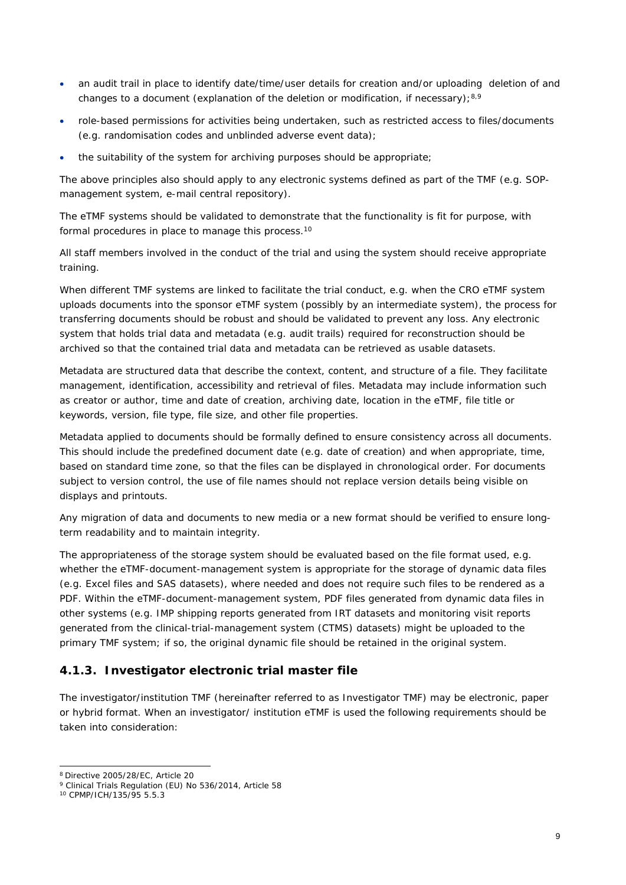- an audit trail in place to identify date/time/user details for creation and/or uploading deletion of and changes to a document (explanation of the deletion or modification, if necessary); $8,9$
- role-based permissions for activities being undertaken, such as restricted access to files/documents (e.g. randomisation codes and unblinded adverse event data);
- the suitability of the system for archiving purposes should be appropriate;

The above principles also should apply to any electronic systems defined as part of the TMF (e.g. SOPmanagement system, e-mail central repository).

The eTMF systems should be validated to demonstrate that the functionality is fit for purpose, with formal procedures in place to manage this process.<sup>10</sup>

All staff members involved in the conduct of the trial and using the system should receive appropriate training.

When different TMF systems are linked to facilitate the trial conduct, e.g. when the CRO eTMF system uploads documents into the sponsor eTMF system (possibly by an intermediate system), the process for transferring documents should be robust and should be validated to prevent any loss. Any electronic system that holds trial data and metadata (e.g. audit trails) required for reconstruction should be archived so that the contained trial data and metadata can be retrieved as usable datasets.

Metadata are structured data that describe the context, content, and structure of a file. They facilitate management, identification, accessibility and retrieval of files. Metadata may include information such as creator or author, time and date of creation, archiving date, location in the eTMF, file title or keywords, version, file type, file size, and other file properties.

Metadata applied to documents should be formally defined to ensure consistency across all documents. This should include the predefined document date (e.g. date of creation) and when appropriate, time, based on standard time zone, so that the files can be displayed in chronological order. For documents subject to version control, the use of file names should not replace version details being visible on displays and printouts.

Any migration of data and documents to new media or a new format should be verified to ensure longterm readability and to maintain integrity.

The appropriateness of the storage system should be evaluated based on the file format used, e.g. whether the eTMF-document-management system is appropriate for the storage of dynamic data files (e.g. Excel files and SAS datasets), where needed and does not require such files to be rendered as a PDF. Within the eTMF-document-management system, PDF files generated from dynamic data files in other systems (e.g. IMP shipping reports generated from IRT datasets and monitoring visit reports generated from the clinical-trial-management system (CTMS) datasets) might be uploaded to the primary TMF system; if so, the original dynamic file should be retained in the original system.

#### <span id="page-8-0"></span>**4.1.3. Investigator electronic trial master file**

The investigator/institution TMF (hereinafter referred to as Investigator TMF) may be electronic, paper or hybrid format. When an investigator/ institution eTMF is used the following requirements should be taken into consideration:

<sup>8</sup> Directive 2005/28/EC, Article 20

<sup>9</sup> Clinical Trials Regulation (EU) No 536/2014, Article 58

<sup>10</sup> CPMP/ICH/135/95 5.5.3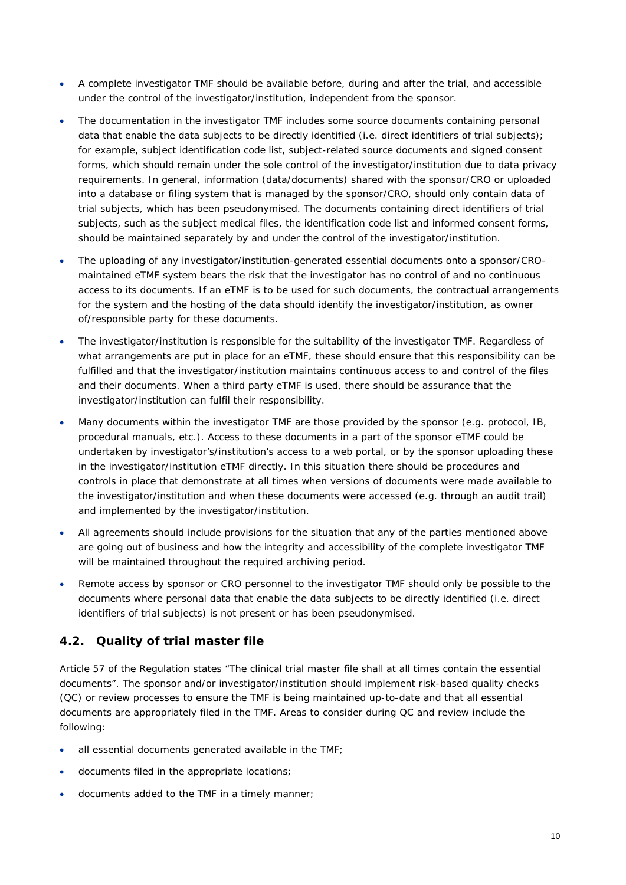- A complete investigator TMF should be available before, during and after the trial, and accessible under the control of the investigator/institution, independent from the sponsor.
- The documentation in the investigator TMF includes some source documents containing personal data that enable the data subjects to be directly identified (i.e. direct identifiers of trial subjects); for example, subject identification code list, subject-related source documents and signed consent forms, which should remain under the sole control of the investigator/institution due to data privacy requirements. In general, information (data/documents) shared with the sponsor/CRO or uploaded into a database or filing system that is managed by the sponsor/CRO, should only contain data of trial subjects, which has been pseudonymised. The documents containing direct identifiers of trial subjects, such as the subject medical files, the identification code list and informed consent forms, should be maintained separately by and under the control of the investigator/institution.
- The uploading of any investigator/institution-generated essential documents onto a sponsor/CROmaintained eTMF system bears the risk that the investigator has no control of and no continuous access to its documents. If an eTMF is to be used for such documents, the contractual arrangements for the system and the hosting of the data should identify the investigator/institution, as owner of/responsible party for these documents.
- The investigator/institution is responsible for the suitability of the investigator TMF. Regardless of what arrangements are put in place for an eTMF, these should ensure that this responsibility can be fulfilled and that the investigator/institution maintains continuous access to and control of the files and their documents. When a third party eTMF is used, there should be assurance that the investigator/institution can fulfil their responsibility.
- Many documents within the investigator TMF are those provided by the sponsor (e.g. protocol, IB, procedural manuals, etc.). Access to these documents in a part of the sponsor eTMF could be undertaken by investigator's/institution's access to a web portal, or by the sponsor uploading these in the investigator/institution eTMF directly. In this situation there should be procedures and controls in place that demonstrate at all times when versions of documents were made available to the investigator/institution and when these documents were accessed (e.g. through an audit trail) and implemented by the investigator/institution.
- All agreements should include provisions for the situation that any of the parties mentioned above are going out of business and how the integrity and accessibility of the complete investigator TMF will be maintained throughout the required archiving period.
- Remote access by sponsor or CRO personnel to the investigator TMF should only be possible to the documents where personal data that enable the data subjects to be directly identified (i.e. direct identifiers of trial subjects) is not present or has been pseudonymised.

## <span id="page-9-0"></span>*4.2. Quality of trial master file*

Article 57 of the Regulation states "*The clinical trial master file shall at all times contain the essential documents*". The sponsor and/or investigator/institution should implement risk-based quality checks (QC) or review processes to ensure the TMF is being maintained up-to-date and that all essential documents are appropriately filed in the TMF. Areas to consider during QC and review include the following:

- all essential documents generated available in the TMF;
- documents filed in the appropriate locations;
- documents added to the TMF in a timely manner;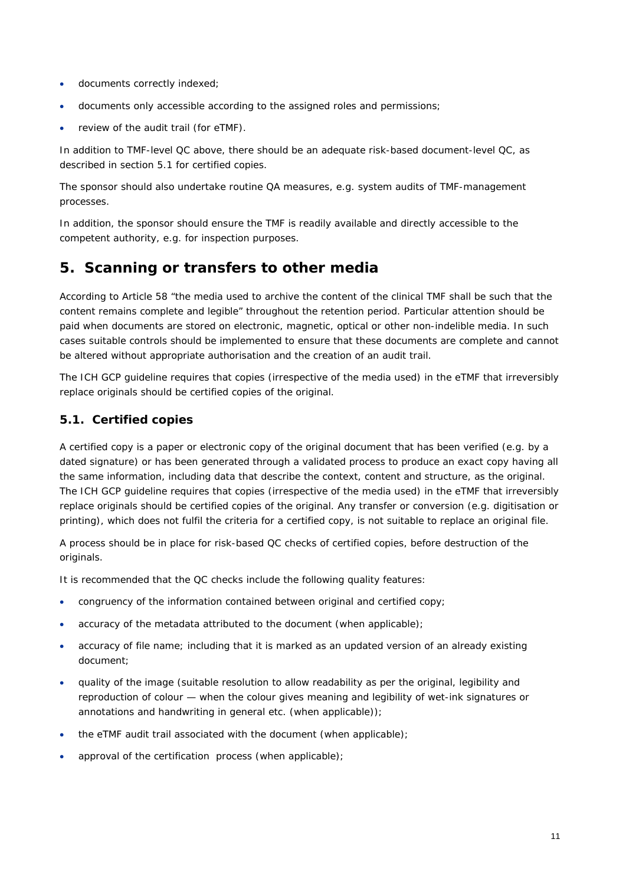- documents correctly indexed;
- documents only accessible according to the assigned roles and permissions;
- review of the audit trail (for eTMF).

In addition to TMF-level QC above, there should be an adequate risk-based document-level QC, as described in section 5.1 for certified copies.

The sponsor should also undertake routine QA measures, e.g. system audits of TMF-management processes.

In addition, the sponsor should ensure the TMF is readily available and directly accessible to the competent authority, e.g. for inspection purposes.

# <span id="page-10-0"></span>**5. Scanning or transfers to other media**

According to Article 58 "*the media used to archive the content of the clinical TMF shall be such that the content remains complete and legible*" throughout the retention period. Particular attention should be paid when documents are stored on electronic, magnetic, optical or other non-indelible media. In such cases suitable controls should be implemented to ensure that these documents are complete and cannot be altered without appropriate authorisation and the creation of an audit trail.

The ICH GCP guideline requires that copies (irrespective of the media used) in the eTMF that irreversibly replace originals should be certified copies of the original.

#### <span id="page-10-1"></span>*5.1. Certified copies*

A certified copy is a paper or electronic copy of the original document that has been verified (e.g. by a dated signature) or has been generated through a validated process to produce an exact copy having all the same information, including data that describe the context, content and structure, as the original. The ICH GCP guideline requires that copies (irrespective of the media used) in the eTMF that irreversibly replace originals should be certified copies of the original. Any transfer or conversion (e.g. digitisation or printing), which does not fulfil the criteria for a certified copy, is not suitable to replace an original file.

A process should be in place for risk-based QC checks of certified copies, before destruction of the originals.

It is recommended that the QC checks include the following quality features:

- congruency of the information contained between original and certified copy;
- accuracy of the metadata attributed to the document (when applicable);
- accuracy of file name; including that it is marked as an updated version of an already existing document;
- quality of the image (suitable resolution to allow readability as per the original, legibility and reproduction of colour — when the colour gives meaning and legibility of wet-ink signatures or annotations and handwriting in general etc. (when applicable));
- the eTMF audit trail associated with the document (when applicable);
- approval of the certification process (when applicable);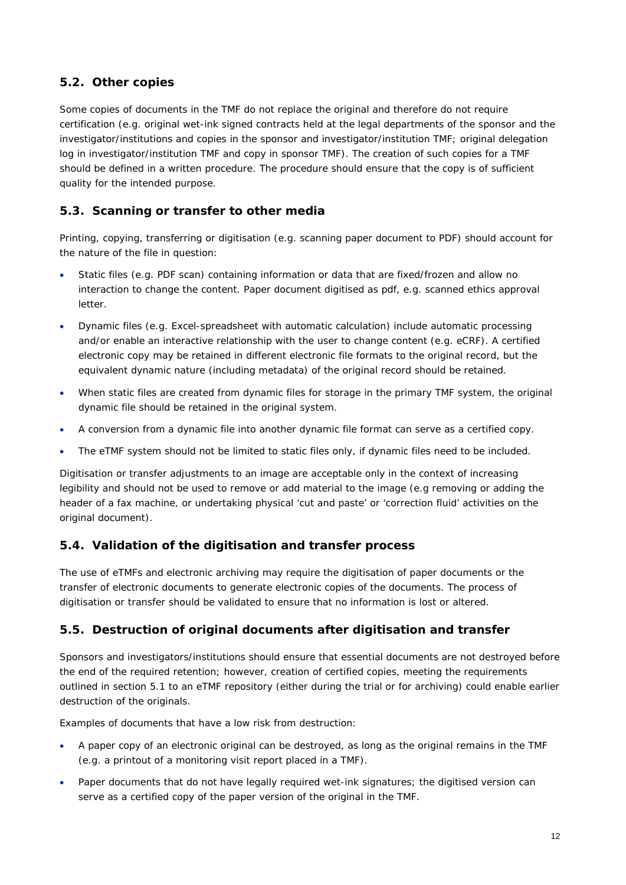# <span id="page-11-0"></span>*5.2. Other copies*

Some copies of documents in the TMF do not replace the original and therefore do not require certification (e.g. original wet-ink signed contracts held at the legal departments of the sponsor and the investigator/institutions and copies in the sponsor and investigator/institution TMF; original delegation log in investigator/institution TMF and copy in sponsor TMF). The creation of such copies for a TMF should be defined in a written procedure. The procedure should ensure that the copy is of sufficient quality for the intended purpose.

# <span id="page-11-1"></span>*5.3. Scanning or transfer to other media*

Printing, copying, transferring or digitisation (e.g. scanning paper document to PDF) should account for the nature of the file in question:

- Static files (e.g. PDF scan) containing information or data that are fixed/frozen and allow no interaction to change the content. Paper document digitised as pdf, e.g. scanned ethics approval letter.
- Dynamic files (e.g. Excel-spreadsheet with automatic calculation) include automatic processing and/or enable an interactive relationship with the user to change content (e.g. eCRF). A certified electronic copy may be retained in different electronic file formats to the original record, but the equivalent dynamic nature (including metadata) of the original record should be retained.
- When static files are created from dynamic files for storage in the primary TMF system, the original dynamic file should be retained in the original system.
- A conversion from a dynamic file into another dynamic file format can serve as a certified copy.
- The eTMF system should not be limited to static files only, if dynamic files need to be included.

Digitisation or transfer adjustments to an image are acceptable only in the context of increasing legibility and should not be used to remove or add material to the image (e.g removing or adding the header of a fax machine, or undertaking physical 'cut and paste' or 'correction fluid' activities on the original document).

## <span id="page-11-2"></span>*5.4. Validation of the digitisation and transfer process*

The use of eTMFs and electronic archiving may require the digitisation of paper documents or the transfer of electronic documents to generate electronic copies of the documents. The process of digitisation or transfer should be validated to ensure that no information is lost or altered.

## <span id="page-11-3"></span>*5.5. Destruction of original documents after digitisation and transfer*

Sponsors and investigators/institutions should ensure that essential documents are not destroyed before the end of the required retention; however, creation of certified copies, meeting the requirements outlined in section 5.1 to an eTMF repository (either during the trial or for archiving) could enable earlier destruction of the originals.

Examples of documents that have a low risk from destruction:

- A paper copy of an electronic original can be destroyed, as long as the original remains in the TMF (e.g. a printout of a monitoring visit report placed in a TMF).
- Paper documents that do not have legally required wet-ink signatures; the digitised version can serve as a certified copy of the paper version of the original in the TMF.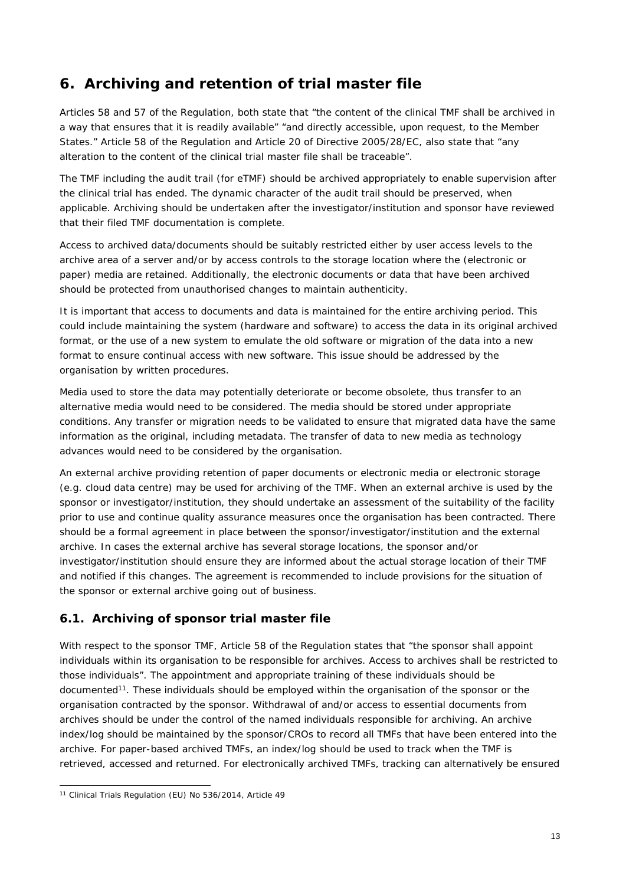# <span id="page-12-0"></span>**6. Archiving and retention of trial master file**

Articles 58 and 57 of the Regulation, both state that *"the content of the clinical TMF shall be archived in a way that ensures that it is readily available" "and directly accessible, upon request, to the Member States."* Article 58 of the Regulation and Article 20 of Directive 2005/28/EC, also state that *"any alteration to the content of the clinical trial master file shall be traceable".*

The TMF including the audit trail (for eTMF) should be archived appropriately to enable supervision after the clinical trial has ended. The dynamic character of the audit trail should be preserved, when applicable. Archiving should be undertaken after the investigator/institution and sponsor have reviewed that their filed TMF documentation is complete.

Access to archived data/documents should be suitably restricted either by user access levels to the archive area of a server and/or by access controls to the storage location where the (electronic or paper) media are retained. Additionally, the electronic documents or data that have been archived should be protected from unauthorised changes to maintain authenticity.

It is important that access to documents and data is maintained for the entire archiving period. This could include maintaining the system (hardware and software) to access the data in its original archived format, or the use of a new system to emulate the old software or migration of the data into a new format to ensure continual access with new software. This issue should be addressed by the organisation by written procedures.

Media used to store the data may potentially deteriorate or become obsolete, thus transfer to an alternative media would need to be considered. The media should be stored under appropriate conditions. Any transfer or migration needs to be validated to ensure that migrated data have the same information as the original, including metadata. The transfer of data to new media as technology advances would need to be considered by the organisation.

An external archive providing retention of paper documents or electronic media or electronic storage (e.g. cloud data centre) may be used for archiving of the TMF. When an external archive is used by the sponsor or investigator/institution, they should undertake an assessment of the suitability of the facility prior to use and continue quality assurance measures once the organisation has been contracted. There should be a formal agreement in place between the sponsor/investigator/institution and the external archive. In cases the external archive has several storage locations, the sponsor and/or investigator/institution should ensure they are informed about the actual storage location of their TMF and notified if this changes. The agreement is recommended to include provisions for the situation of the sponsor or external archive going out of business.

# <span id="page-12-1"></span>*6.1. Archiving of sponsor trial master file*

With respect to the sponsor TMF, Article 58 of the Regulation states that *"the sponsor shall appoint individuals within its organisation to be responsible for archives. Access to archives shall be restricted to those individuals"*. The appointment and appropriate training of these individuals should be documented<sup>11</sup>. These individuals should be employed within the organisation of the sponsor or the organisation contracted by the sponsor. Withdrawal of and/or access to essential documents from archives should be under the control of the named individuals responsible for archiving. An archive index/log should be maintained by the sponsor/CROs to record all TMFs that have been entered into the archive. For paper-based archived TMFs, an index/log should be used to track when the TMF is retrieved, accessed and returned. For electronically archived TMFs, tracking can alternatively be ensured

<sup>11</sup> Clinical Trials Regulation (EU) No 536/2014, Article 49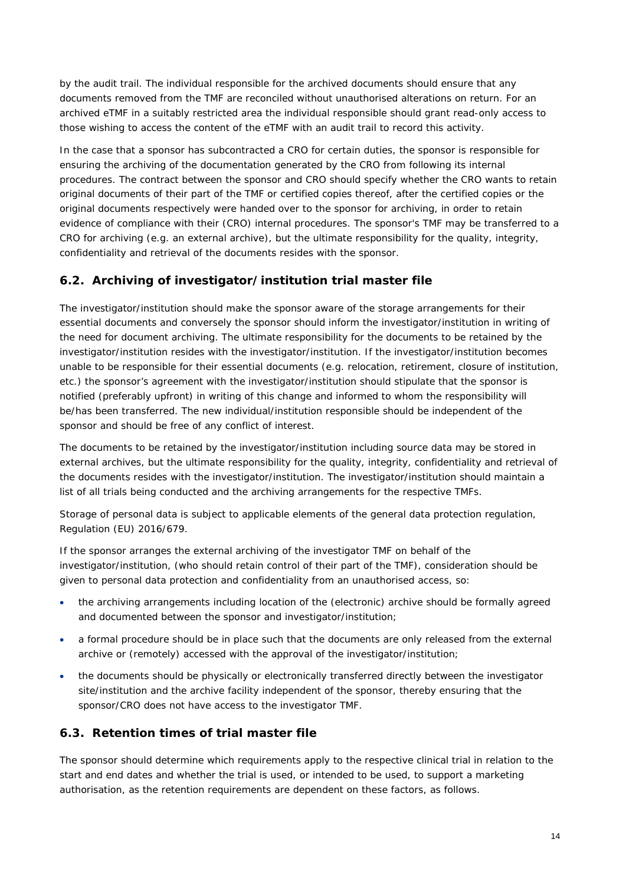by the audit trail. The individual responsible for the archived documents should ensure that any documents removed from the TMF are reconciled without unauthorised alterations on return. For an archived eTMF in a suitably restricted area the individual responsible should grant read-only access to those wishing to access the content of the eTMF with an audit trail to record this activity.

In the case that a sponsor has subcontracted a CRO for certain duties, the sponsor is responsible for ensuring the archiving of the documentation generated by the CRO from following its internal procedures. The contract between the sponsor and CRO should specify whether the CRO wants to retain original documents of their part of the TMF or certified copies thereof, after the certified copies or the original documents respectively were handed over to the sponsor for archiving, in order to retain evidence of compliance with their (CRO) internal procedures. The sponsor's TMF may be transferred to a CRO for archiving (e.g. an external archive), but the ultimate responsibility for the quality, integrity, confidentiality and retrieval of the documents resides with the sponsor.

# <span id="page-13-0"></span>*6.2. Archiving of investigator/institution trial master file*

The investigator/institution should make the sponsor aware of the storage arrangements for their essential documents and conversely the sponsor should inform the investigator/institution in writing of the need for document archiving. The ultimate responsibility for the documents to be retained by the investigator/institution resides with the investigator/institution. If the investigator/institution becomes unable to be responsible for their essential documents (e.g. relocation, retirement, closure of institution, etc.) the sponsor's agreement with the investigator/institution should stipulate that the sponsor is notified (preferably upfront) in writing of this change and informed to whom the responsibility will be/has been transferred. The new individual/institution responsible should be independent of the sponsor and should be free of any conflict of interest.

The documents to be retained by the investigator/institution including source data may be stored in external archives, but the ultimate responsibility for the quality, integrity, confidentiality and retrieval of the documents resides with the investigator/institution. The investigator/institution should maintain a list of all trials being conducted and the archiving arrangements for the respective TMFs.

Storage of personal data is subject to applicable elements of the general data protection regulation, Regulation (EU) 2016/679.

If the sponsor arranges the external archiving of the investigator TMF on behalf of the investigator/institution, (who should retain control of their part of the TMF), consideration should be given to personal data protection and confidentiality from an unauthorised access, so:

- the archiving arrangements including location of the (electronic) archive should be formally agreed and documented between the sponsor and investigator/institution;
- a formal procedure should be in place such that the documents are only released from the external archive or (remotely) accessed with the approval of the investigator/institution;
- the documents should be physically or electronically transferred directly between the investigator site/institution and the archive facility independent of the sponsor, thereby ensuring that the sponsor/CRO does not have access to the investigator TMF.

#### <span id="page-13-1"></span>*6.3. Retention times of trial master file*

The sponsor should determine which requirements apply to the respective clinical trial in relation to the start and end dates and whether the trial is used, or intended to be used, to support a marketing authorisation, as the retention requirements are dependent on these factors, as follows.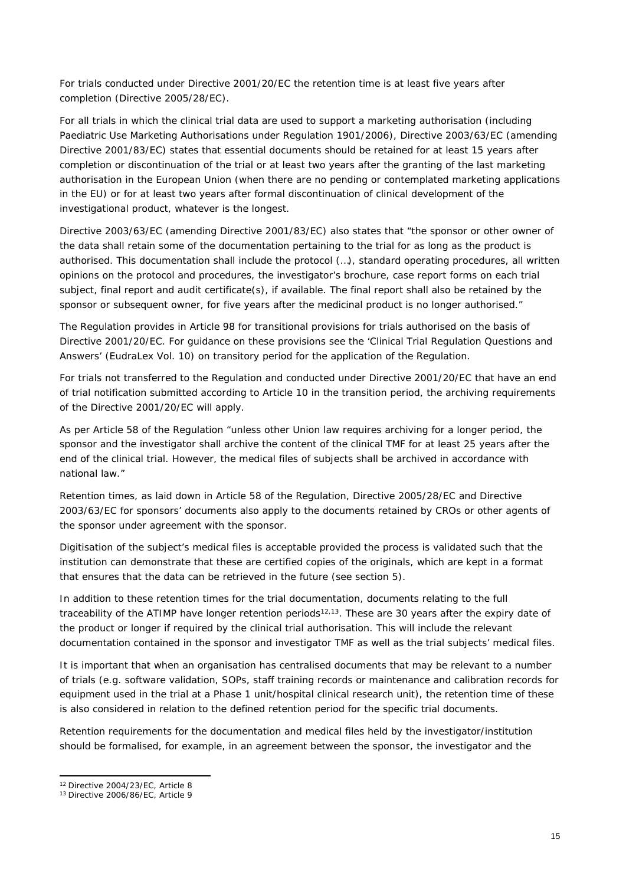For trials conducted under Directive 2001/20/EC the retention time is at least five years after completion (Directive 2005/28/EC).

For all trials in which the clinical trial data are used to support a marketing authorisation (including Paediatric Use Marketing Authorisations under Regulation 1901/2006), Directive 2003/63/EC (amending Directive 2001/83/EC) states that essential documents should be retained for at least 15 years after completion or discontinuation of the trial or at least two years after the granting of the last marketing authorisation in the European Union (when there are no pending or contemplated marketing applications in the EU) or for at least two years after formal discontinuation of clinical development of the investigational product, whatever is the longest.

Directive 2003/63/EC (amending Directive 2001/83/EC) also states that "*the sponsor or other owner of the data shall retain some of the documentation pertaining to the trial for as long as the product is authorised. This documentation shall include the protocol (…), standard operating procedures, all written opinions on the protocol and procedures, the investigator's brochure, case report forms on each trial subject, final report and audit certificate(s), if available*. *The final report shall also be retained by the sponsor or subsequent owner, for five years after the medicinal product is no longer authorised*."

The Regulation provides in Article 98 for transitional provisions for trials authorised on the basis of Directive 2001/20/EC. For guidance on these provisions see the 'Clinical Trial Regulation Questions and Answers' (EudraLex Vol. 10) on transitory period for the application of the Regulation.

For trials not transferred to the Regulation and conducted under Directive 2001/20/EC that have an end of trial notification submitted according to Article 10 in the transition period, the archiving requirements of the Directive 2001/20/EC will apply.

As per Article 58 of the Regulation "*unless other Union law requires archiving for a longer period, the sponsor and the investigator shall archive the content of the clinical TMF for at least 25 years after the end of the clinical trial. However, the medical files of subjects shall be archived in accordance with national law."*

Retention times, as laid down in Article 58 of the Regulation, Directive 2005/28/EC and Directive 2003/63/EC for sponsors' documents also apply to the documents retained by CROs or other agents of the sponsor under agreement with the sponsor.

Digitisation of the subject's medical files is acceptable provided the process is validated such that the institution can demonstrate that these are certified copies of the originals, which are kept in a format that ensures that the data can be retrieved in the future (see section 5).

In addition to these retention times for the trial documentation, documents relating to the full traceability of the ATIMP have longer retention periods<sup>12,13</sup>. These are 30 years after the expiry date of the product or longer if required by the clinical trial authorisation. This will include the relevant documentation contained in the sponsor and investigator TMF as well as the trial subjects' medical files.

It is important that when an organisation has centralised documents that may be relevant to a number of trials (e.g. software validation, SOPs, staff training records or maintenance and calibration records for equipment used in the trial at a Phase 1 unit/hospital clinical research unit), the retention time of these is also considered in relation to the defined retention period for the specific trial documents.

Retention requirements for the documentation and medical files held by the investigator/institution should be formalised, for example, in an agreement between the sponsor, the investigator and the

<sup>12</sup> Directive 2004/23/EC, Article 8

<sup>13</sup> Directive 2006/86/EC, Article 9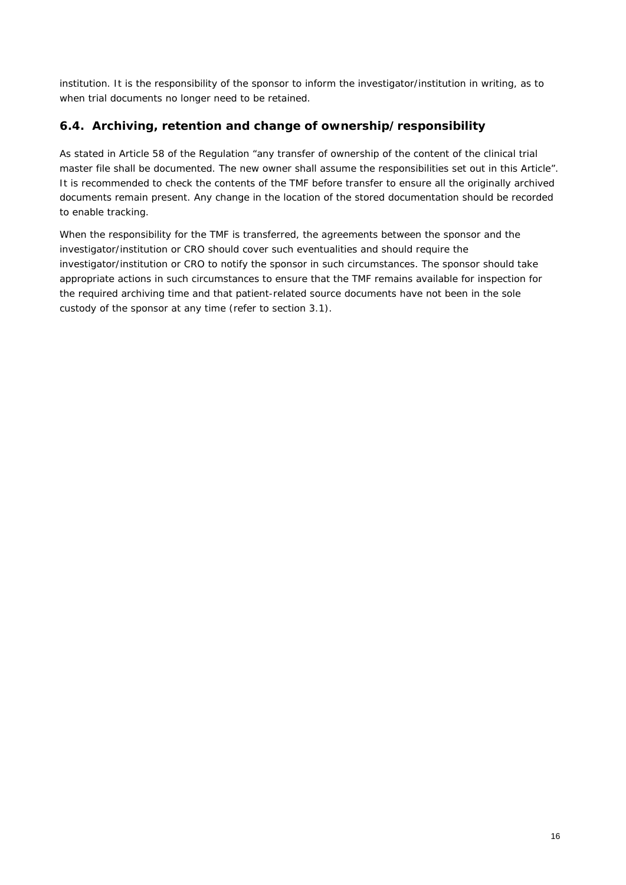institution. It is the responsibility of the sponsor to inform the investigator/institution in writing, as to when trial documents no longer need to be retained.

# <span id="page-15-0"></span>*6.4. Archiving, retention and change of ownership/responsibility*

As stated in Article 58 of the Regulation *"any transfer of ownership of the content of the clinical trial master file shall be documented. The new owner shall assume the responsibilities set out in this Article".* It is recommended to check the contents of the TMF before transfer to ensure all the originally archived documents remain present. Any change in the location of the stored documentation should be recorded to enable tracking.

When the responsibility for the TMF is transferred, the agreements between the sponsor and the investigator/institution or CRO should cover such eventualities and should require the investigator/institution or CRO to notify the sponsor in such circumstances. The sponsor should take appropriate actions in such circumstances to ensure that the TMF remains available for inspection for the required archiving time and that patient-related source documents have not been in the sole custody of the sponsor at any time (refer to section 3.1).